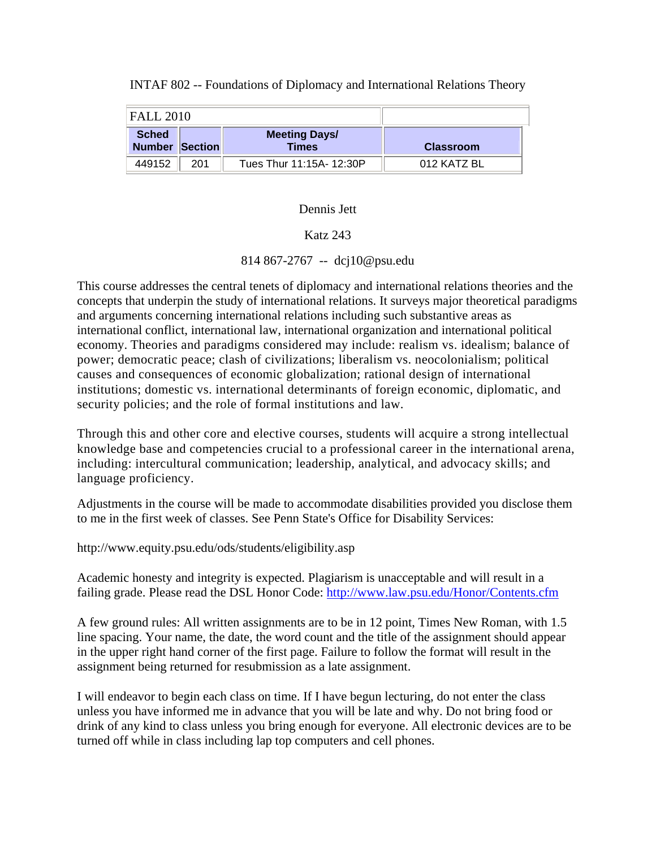| <b>FALL 2010</b>                      |     |                                      |                  |
|---------------------------------------|-----|--------------------------------------|------------------|
| <b>Sched</b><br><b>Number Section</b> |     | <b>Meeting Days/</b><br><b>Times</b> | <b>Classroom</b> |
| 449152                                | 201 | Tues Thur 11:15A- 12:30P             | 012 KATZ BL      |

## INTAF 802 -- Foundations of Diplomacy and International Relations Theory

## Dennis Jett

## Katz 243

814 867-2767 -- dcj10@psu.edu

This course addresses the central tenets of diplomacy and international relations theories and the concepts that underpin the study of international relations. It surveys major theoretical paradigms and arguments concerning international relations including such substantive areas as international conflict, international law, international organization and international political economy. Theories and paradigms considered may include: realism vs. idealism; balance of power; democratic peace; clash of civilizations; liberalism vs. neocolonialism; political causes and consequences of economic globalization; rational design of international institutions; domestic vs. international determinants of foreign economic, diplomatic, and security policies; and the role of formal institutions and law.

Through this and other core and elective courses, students will acquire a strong intellectual knowledge base and competencies crucial to a professional career in the international arena, including: intercultural communication; leadership, analytical, and advocacy skills; and language proficiency.

Adjustments in the course will be made to accommodate disabilities provided you disclose them to me in the first week of classes. See Penn State's Office for Disability Services:

http://www.equity.psu.edu/ods/students/eligibility.asp

Academic honesty and integrity is expected. Plagiarism is unacceptable and will result in a failing grade. Please read the DSL Honor Code: http://www.law.psu.edu/Honor/Contents.cfm

A few ground rules: All written assignments are to be in 12 point, Times New Roman, with 1.5 line spacing. Your name, the date, the word count and the title of the assignment should appear in the upper right hand corner of the first page. Failure to follow the format will result in the assignment being returned for resubmission as a late assignment.

I will endeavor to begin each class on time. If I have begun lecturing, do not enter the class unless you have informed me in advance that you will be late and why. Do not bring food or drink of any kind to class unless you bring enough for everyone. All electronic devices are to be turned off while in class including lap top computers and cell phones.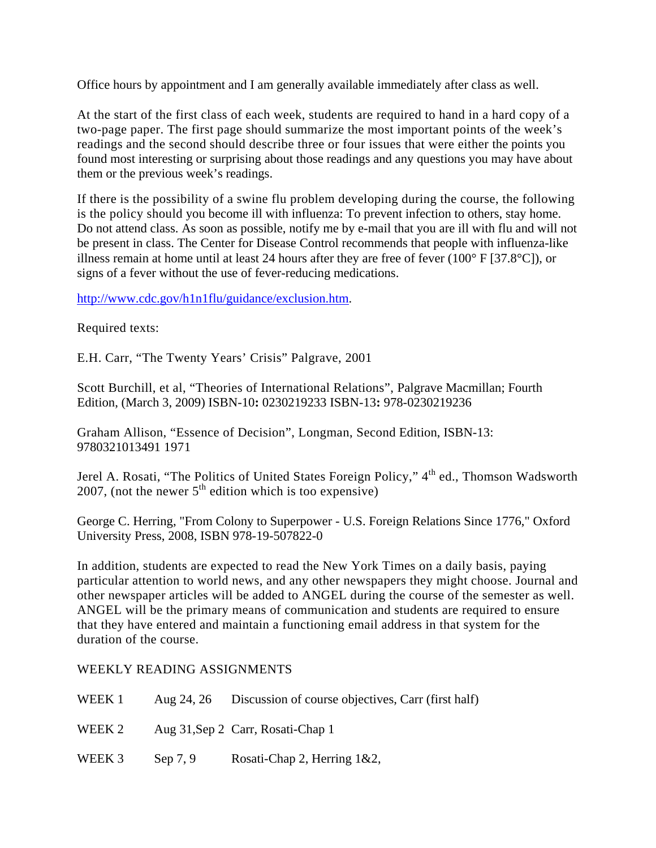Office hours by appointment and I am generally available immediately after class as well.

At the start of the first class of each week, students are required to hand in a hard copy of a two-page paper. The first page should summarize the most important points of the week's readings and the second should describe three or four issues that were either the points you found most interesting or surprising about those readings and any questions you may have about them or the previous week's readings.

If there is the possibility of a swine flu problem developing during the course, the following is the policy should you become ill with influenza: To prevent infection to others, stay home. Do not attend class. As soon as possible, notify me by e-mail that you are ill with flu and will not be present in class. The Center for Disease Control recommends that people with influenza-like illness remain at home until at least 24 hours after they are free of fever (100 $\degree$  F [37.8 $\degree$ C]), or signs of a fever without the use of fever-reducing medications.

http://www.cdc.gov/h1n1flu/guidance/exclusion.htm.

Required texts:

E.H. Carr, "The Twenty Years' Crisis" Palgrave, 2001

Scott Burchill, et al, "Theories of International Relations", Palgrave Macmillan; Fourth Edition, (March 3, 2009) ISBN-10**:** 0230219233 ISBN-13**:** 978-0230219236

Graham Allison, "Essence of Decision", Longman, Second Edition, ISBN-13: 9780321013491 1971

Jerel A. Rosati, "The Politics of United States Foreign Policy," 4<sup>th</sup> ed., Thomson Wadsworth 2007, (not the newer  $5<sup>th</sup>$  edition which is too expensive)

George C. Herring, "From Colony to Superpower - U.S. Foreign Relations Since 1776," Oxford University Press, 2008, ISBN 978-19-507822-0

In addition, students are expected to read the New York Times on a daily basis, paying particular attention to world news, and any other newspapers they might choose. Journal and other newspaper articles will be added to ANGEL during the course of the semester as well. ANGEL will be the primary means of communication and students are required to ensure that they have entered and maintain a functioning email address in that system for the duration of the course.

# WEEKLY READING ASSIGNMENTS

| WEEK 1 |            | Aug 24, 26 Discussion of course objectives, Carr (first half) |
|--------|------------|---------------------------------------------------------------|
| WEEK 2 |            | Aug 31, Sep 2 Carr, Rosati-Chap 1                             |
| WEEK 3 | Sep $7, 9$ | Rosati-Chap 2, Herring 1&2,                                   |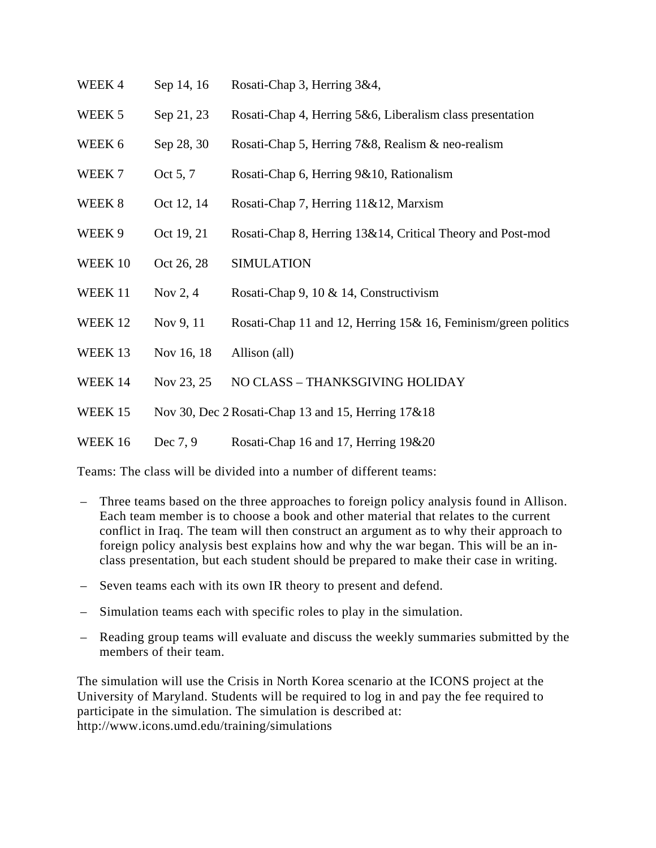- WEEK 4 Sep 14, 16 Rosati-Chap 3, Herring 3&4,
- WEEK 5 Sep 21, 23 Rosati-Chap 4, Herring 5&6, Liberalism class presentation
- WEEK 6 Sep 28, 30 Rosati-Chap 5, Herring 7&8, Realism & neo-realism
- WEEK 7 Oct 5, 7 Rosati-Chap 6, Herring 9&10, Rationalism
- WEEK 8 Oct 12, 14 Rosati-Chap 7, Herring 11&12, Marxism
- WEEK 9 Oct 19, 21 Rosati-Chap 8, Herring 13&14, Critical Theory and Post-mod
- WEEK 10 Oct 26, 28 SIMULATION
- WEEK 11 Nov 2, 4 Rosati-Chap 9, 10 & 14, Constructivism
- WEEK 12 Nov 9, 11 Rosati-Chap 11 and 12, Herring 15& 16, Feminism/green politics
- WEEK 13 Nov 16, 18 Allison (all)
- WEEK 14 Nov 23, 25 NO CLASS THANKSGIVING HOLIDAY
- WEEK 15 Nov 30, Dec 2 Rosati-Chap 13 and 15, Herring 17&18

## WEEK 16 Dec 7, 9 Rosati-Chap 16 and 17, Herring 19&20

Teams: The class will be divided into a number of different teams:

- Three teams based on the three approaches to foreign policy analysis found in Allison. Each team member is to choose a book and other material that relates to the current conflict in Iraq. The team will then construct an argument as to why their approach to foreign policy analysis best explains how and why the war began. This will be an inclass presentation, but each student should be prepared to make their case in writing.
- Seven teams each with its own IR theory to present and defend.
- Simulation teams each with specific roles to play in the simulation.
- Reading group teams will evaluate and discuss the weekly summaries submitted by the members of their team.

The simulation will use the Crisis in North Korea scenario at the ICONS project at the University of Maryland. Students will be required to log in and pay the fee required to participate in the simulation. The simulation is described at: http://www.icons.umd.edu/training/simulations